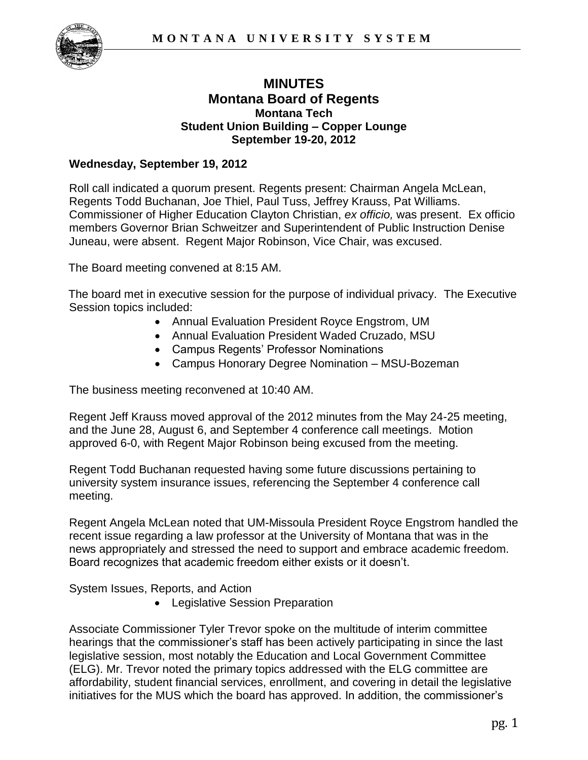

# **MINUTES Montana Board of Regents Montana Tech Student Union Building – Copper Lounge September 19-20, 2012**

## **Wednesday, September 19, 2012**

Roll call indicated a quorum present. Regents present: Chairman Angela McLean, Regents Todd Buchanan, Joe Thiel, Paul Tuss, Jeffrey Krauss, Pat Williams. Commissioner of Higher Education Clayton Christian, *ex officio,* was present. Ex officio members Governor Brian Schweitzer and Superintendent of Public Instruction Denise Juneau, were absent. Regent Major Robinson, Vice Chair, was excused.

The Board meeting convened at 8:15 AM.

The board met in executive session for the purpose of individual privacy. The Executive Session topics included:

- Annual Evaluation President Royce Engstrom, UM
- Annual Evaluation President Waded Cruzado, MSU
- Campus Regents' Professor Nominations
- Campus Honorary Degree Nomination MSU-Bozeman

The business meeting reconvened at 10:40 AM.

Regent Jeff Krauss moved approval of the 2012 minutes from the May 24-25 meeting, and the June 28, August 6, and September 4 conference call meetings. Motion approved 6-0, with Regent Major Robinson being excused from the meeting.

Regent Todd Buchanan requested having some future discussions pertaining to university system insurance issues, referencing the September 4 conference call meeting.

Regent Angela McLean noted that UM-Missoula President Royce Engstrom handled the recent issue regarding a law professor at the University of Montana that was in the news appropriately and stressed the need to support and embrace academic freedom. Board recognizes that academic freedom either exists or it doesn't.

System Issues, Reports, and Action

• Legislative Session Preparation

Associate Commissioner Tyler Trevor spoke on the multitude of interim committee hearings that the commissioner's staff has been actively participating in since the last legislative session, most notably the Education and Local Government Committee (ELG). Mr. Trevor noted the primary topics addressed with the ELG committee are affordability, student financial services, enrollment, and covering in detail the legislative initiatives for the MUS which the board has approved. In addition, the commissioner's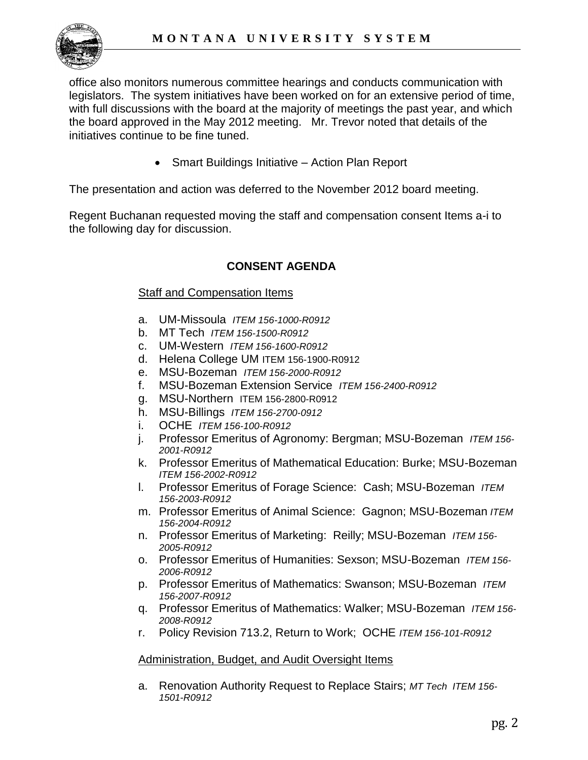

office also monitors numerous committee hearings and conducts communication with legislators. The system initiatives have been worked on for an extensive period of time, with full discussions with the board at the majority of meetings the past year, and which the board approved in the May 2012 meeting. Mr. Trevor noted that details of the initiatives continue to be fine tuned.

• Smart Buildings Initiative – Action Plan Report

The presentation and action was deferred to the November 2012 board meeting.

Regent Buchanan requested moving the staff and compensation consent Items a-i to the following day for discussion.

# **CONSENT AGENDA**

### Staff and Compensation Items

- a. UM-Missoula *ITEM 156-1000-R0912*
- b. MT Tech *ITEM 156-1500-R0912*
- c. UM-Western *ITEM 156-1600-R0912*
- d. Helena College UM ITEM 156-1900-R0912
- e. MSU-Bozeman *ITEM 156-2000-R0912*
- f. MSU-Bozeman Extension Service *ITEM 156-2400-R0912*
- g. MSU-Northern ITEM 156-2800-R0912
- h. MSU-Billings *ITEM 156-2700-0912*
- i. OCHE *ITEM 156-100-R0912*
- j. Professor Emeritus of Agronomy: Bergman; MSU-Bozeman *ITEM 156- 2001-R0912*
- k. Professor Emeritus of Mathematical Education: Burke; MSU-Bozeman *ITEM 156-2002-R0912*
- l. Professor Emeritus of Forage Science: Cash; MSU-Bozeman *ITEM 156-2003-R0912*
- m. Professor Emeritus of Animal Science: Gagnon; MSU-Bozeman *ITEM 156-2004-R0912*
- n. Professor Emeritus of Marketing: Reilly; MSU-Bozeman *ITEM 156- 2005-R0912*
- o. Professor Emeritus of Humanities: Sexson; MSU-Bozeman *ITEM 156- 2006-R0912*
- p. Professor Emeritus of Mathematics: Swanson; MSU-Bozeman *ITEM 156-2007-R0912*
- q. Professor Emeritus of Mathematics: Walker; MSU-Bozeman *ITEM 156- 2008-R0912*
- r. Policy Revision 713.2, Return to Work; OCHE *ITEM 156-101-R0912*

### Administration, Budget, and Audit Oversight Items

a. Renovation Authority Request to Replace Stairs; *MT Tech ITEM 156- 1501-R0912*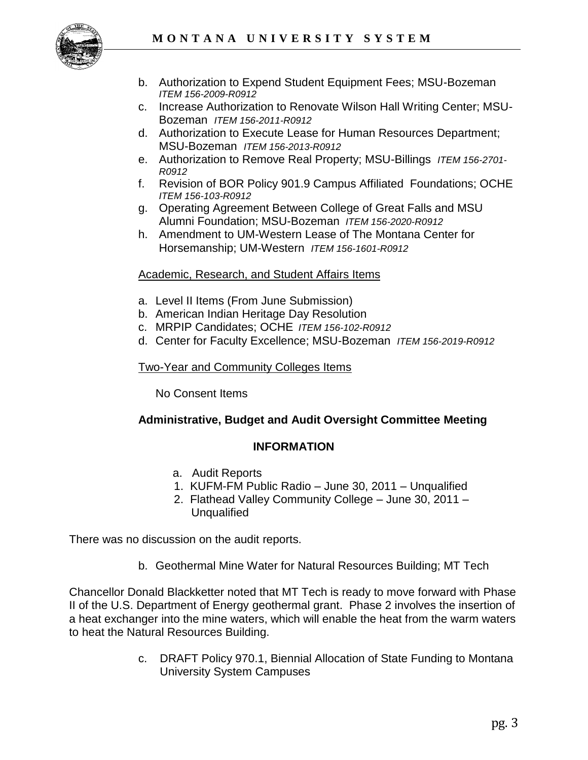

- b. Authorization to Expend Student Equipment Fees; MSU-Bozeman *ITEM 156-2009-R0912*
- c. Increase Authorization to Renovate Wilson Hall Writing Center; MSU-Bozeman *ITEM 156-2011-R0912*
- d. Authorization to Execute Lease for Human Resources Department; MSU-Bozeman *ITEM 156-2013-R0912*
- e. Authorization to Remove Real Property; MSU-Billings *ITEM 156-2701- R0912*
- f. Revision of BOR Policy 901.9 Campus Affiliated Foundations; OCHE *ITEM 156-103-R0912*
- g. Operating Agreement Between College of Great Falls and MSU Alumni Foundation; MSU-Bozeman *ITEM 156-2020-R0912*
- h. Amendment to UM-Western Lease of The Montana Center for Horsemanship; UM-Western *ITEM 156-1601-R0912*

# Academic, Research, and Student Affairs Items

- a. Level II Items (From June Submission)
- b. American Indian Heritage Day Resolution
- c. MRPIP Candidates; OCHE *ITEM 156-102-R0912*
- d. Center for Faculty Excellence; MSU-Bozeman *ITEM 156-2019-R0912*

## Two-Year and Community Colleges Items

No Consent Items

# **Administrative, Budget and Audit Oversight Committee Meeting**

# **INFORMATION**

- a. Audit Reports
- 1. KUFM-FM Public Radio June 30, 2011 Unqualified
- 2. Flathead Valley Community College June 30, 2011 Unqualified

There was no discussion on the audit reports.

b. Geothermal Mine Water for Natural Resources Building; MT Tech

Chancellor Donald Blackketter noted that MT Tech is ready to move forward with Phase II of the U.S. Department of Energy geothermal grant. Phase 2 involves the insertion of a heat exchanger into the mine waters, which will enable the heat from the warm waters to heat the Natural Resources Building.

> c. DRAFT Policy 970.1, Biennial Allocation of State Funding to Montana University System Campuses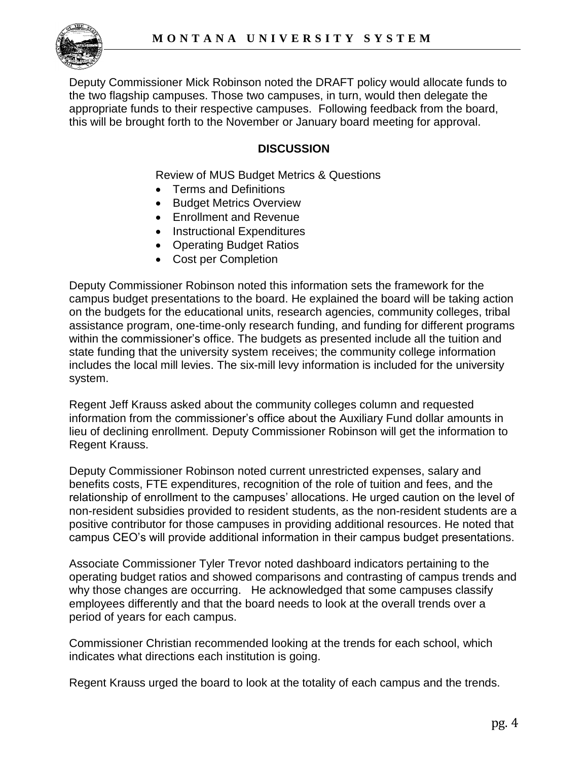

Deputy Commissioner Mick Robinson noted the DRAFT policy would allocate funds to the two flagship campuses. Those two campuses, in turn, would then delegate the appropriate funds to their respective campuses. Following feedback from the board, this will be brought forth to the November or January board meeting for approval.

# **DISCUSSION**

Review of MUS Budget Metrics & Questions

- Terms and Definitions
- **Budget Metrics Overview**
- Enrollment and Revenue
- Instructional Expenditures
- Operating Budget Ratios
- Cost per Completion

Deputy Commissioner Robinson noted this information sets the framework for the campus budget presentations to the board. He explained the board will be taking action on the budgets for the educational units, research agencies, community colleges, tribal assistance program, one-time-only research funding, and funding for different programs within the commissioner's office. The budgets as presented include all the tuition and state funding that the university system receives; the community college information includes the local mill levies. The six-mill levy information is included for the university system.

Regent Jeff Krauss asked about the community colleges column and requested information from the commissioner's office about the Auxiliary Fund dollar amounts in lieu of declining enrollment. Deputy Commissioner Robinson will get the information to Regent Krauss.

Deputy Commissioner Robinson noted current unrestricted expenses, salary and benefits costs, FTE expenditures, recognition of the role of tuition and fees, and the relationship of enrollment to the campuses' allocations. He urged caution on the level of non-resident subsidies provided to resident students, as the non-resident students are a positive contributor for those campuses in providing additional resources. He noted that campus CEO's will provide additional information in their campus budget presentations.

Associate Commissioner Tyler Trevor noted dashboard indicators pertaining to the operating budget ratios and showed comparisons and contrasting of campus trends and why those changes are occurring. He acknowledged that some campuses classify employees differently and that the board needs to look at the overall trends over a period of years for each campus.

Commissioner Christian recommended looking at the trends for each school, which indicates what directions each institution is going.

Regent Krauss urged the board to look at the totality of each campus and the trends.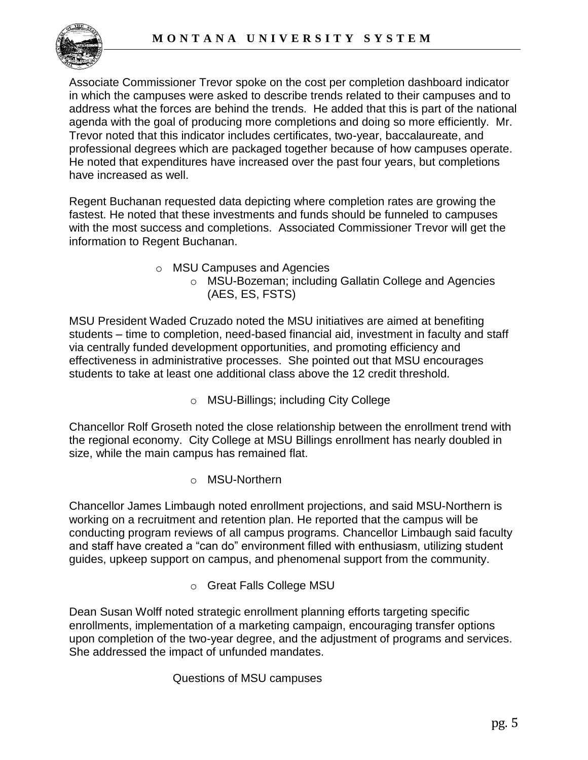

Associate Commissioner Trevor spoke on the cost per completion dashboard indicator in which the campuses were asked to describe trends related to their campuses and to address what the forces are behind the trends. He added that this is part of the national agenda with the goal of producing more completions and doing so more efficiently. Mr. Trevor noted that this indicator includes certificates, two-year, baccalaureate, and professional degrees which are packaged together because of how campuses operate. He noted that expenditures have increased over the past four years, but completions have increased as well.

Regent Buchanan requested data depicting where completion rates are growing the fastest. He noted that these investments and funds should be funneled to campuses with the most success and completions. Associated Commissioner Trevor will get the information to Regent Buchanan.

- o MSU Campuses and Agencies
	- o MSU-Bozeman; including Gallatin College and Agencies (AES, ES, FSTS)

MSU President Waded Cruzado noted the MSU initiatives are aimed at benefiting students – time to completion, need-based financial aid, investment in faculty and staff via centrally funded development opportunities, and promoting efficiency and effectiveness in administrative processes. She pointed out that MSU encourages students to take at least one additional class above the 12 credit threshold.

o MSU-Billings; including City College

Chancellor Rolf Groseth noted the close relationship between the enrollment trend with the regional economy. City College at MSU Billings enrollment has nearly doubled in size, while the main campus has remained flat.

o MSU-Northern

Chancellor James Limbaugh noted enrollment projections, and said MSU-Northern is working on a recruitment and retention plan. He reported that the campus will be conducting program reviews of all campus programs. Chancellor Limbaugh said faculty and staff have created a "can do" environment filled with enthusiasm, utilizing student guides, upkeep support on campus, and phenomenal support from the community.

o Great Falls College MSU

Dean Susan Wolff noted strategic enrollment planning efforts targeting specific enrollments, implementation of a marketing campaign, encouraging transfer options upon completion of the two-year degree, and the adjustment of programs and services. She addressed the impact of unfunded mandates.

# Questions of MSU campuses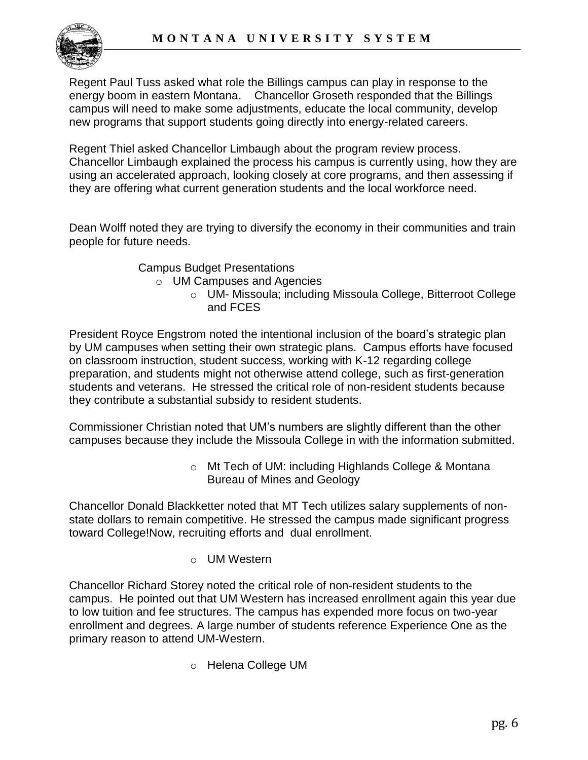

Regent Paul Tuss asked what role the Billings campus can play in response to the energy boom in eastern Montana. Chancellor Groseth responded that the Billings campus will need to make some adjustments, educate the local community, develop new programs that support students going directly into energy-related careers.

Regent Thiel asked Chancellor Limbaugh about the program review process. Chancellor Limbaugh explained the process his campus is currently using, how they are using an accelerated approach, looking closely at core programs, and then assessing if they are offering what current generation students and the local workforce need.

Dean Wolff noted they are trying to diversify the economy in their communities and train people for future needs.

Campus Budget Presentations

o UM Campuses and Agencies

o UM- Missoula; including Missoula College, Bitterroot College and FCES

President Royce Engstrom noted the intentional inclusion of the board's strategic plan by UM campuses when setting their own strategic plans. Campus efforts have focused on classroom instruction, student success, working with K-12 regarding college preparation, and students might not otherwise attend college, such as first-generation students and veterans. He stressed the critical role of non-resident students because they contribute a substantial subsidy to resident students.

Commissioner Christian noted that UM's numbers are slightly different than the other campuses because they include the Missoula College in with the information submitted.

> o Mt Tech of UM: including Highlands College & Montana Bureau of Mines and Geology

Chancellor Donald Blackketter noted that MT Tech utilizes salary supplements of nonstate dollars to remain competitive. He stressed the campus made significant progress toward College!Now, recruiting efforts and dual enrollment.

o UM Western

Chancellor Richard Storey noted the critical role of non-resident students to the campus. He pointed out that UM Western has increased enrollment again this year due to low tuition and fee structures. The campus has expended more focus on two-year enrollment and degrees. A large number of students reference Experience One as the primary reason to attend UM-Western.

o Helena College UM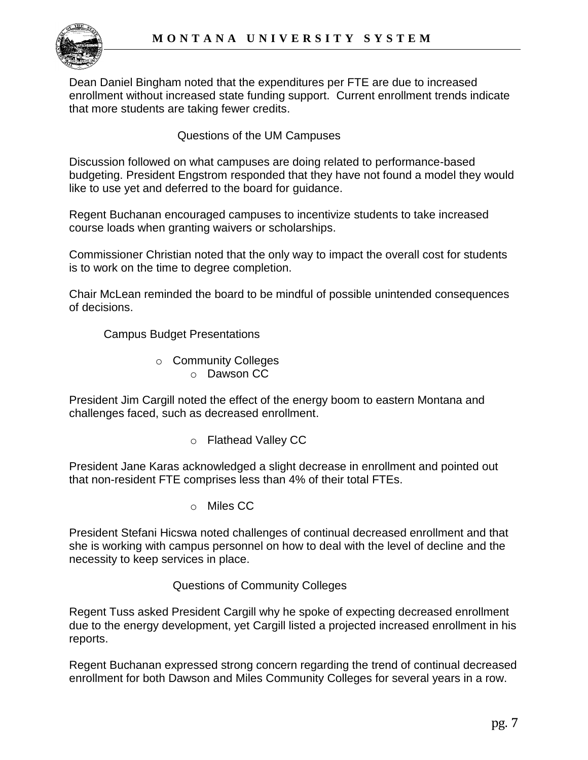Dean Daniel Bingham noted that the expenditures per FTE are due to increased enrollment without increased state funding support. Current enrollment trends indicate that more students are taking fewer credits.

Questions of the UM Campuses

Discussion followed on what campuses are doing related to performance-based budgeting. President Engstrom responded that they have not found a model they would like to use yet and deferred to the board for guidance.

Regent Buchanan encouraged campuses to incentivize students to take increased course loads when granting waivers or scholarships.

Commissioner Christian noted that the only way to impact the overall cost for students is to work on the time to degree completion.

Chair McLean reminded the board to be mindful of possible unintended consequences of decisions.

Campus Budget Presentations

- o Community Colleges
	- o Dawson CC

President Jim Cargill noted the effect of the energy boom to eastern Montana and challenges faced, such as decreased enrollment.

o Flathead Valley CC

President Jane Karas acknowledged a slight decrease in enrollment and pointed out that non-resident FTE comprises less than 4% of their total FTEs.

o Miles CC

President Stefani Hicswa noted challenges of continual decreased enrollment and that she is working with campus personnel on how to deal with the level of decline and the necessity to keep services in place.

# Questions of Community Colleges

Regent Tuss asked President Cargill why he spoke of expecting decreased enrollment due to the energy development, yet Cargill listed a projected increased enrollment in his reports.

Regent Buchanan expressed strong concern regarding the trend of continual decreased enrollment for both Dawson and Miles Community Colleges for several years in a row.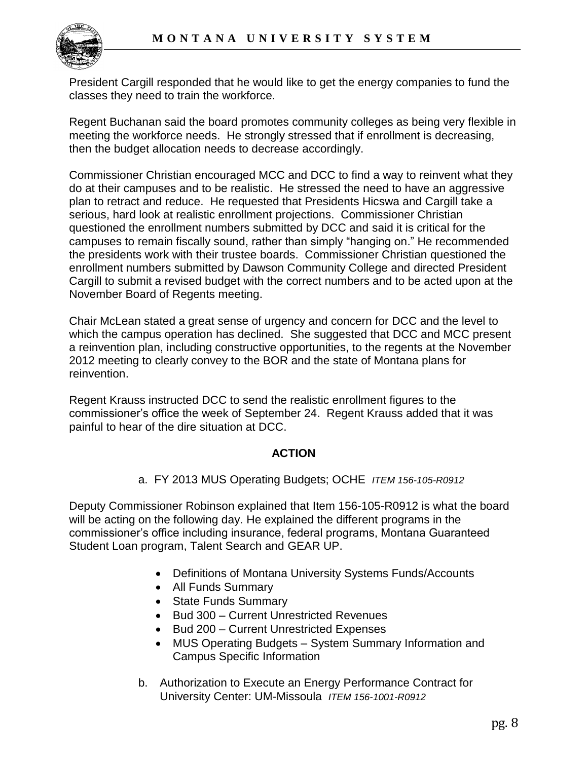

President Cargill responded that he would like to get the energy companies to fund the classes they need to train the workforce.

Regent Buchanan said the board promotes community colleges as being very flexible in meeting the workforce needs. He strongly stressed that if enrollment is decreasing, then the budget allocation needs to decrease accordingly.

Commissioner Christian encouraged MCC and DCC to find a way to reinvent what they do at their campuses and to be realistic. He stressed the need to have an aggressive plan to retract and reduce. He requested that Presidents Hicswa and Cargill take a serious, hard look at realistic enrollment projections. Commissioner Christian questioned the enrollment numbers submitted by DCC and said it is critical for the campuses to remain fiscally sound, rather than simply "hanging on." He recommended the presidents work with their trustee boards. Commissioner Christian questioned the enrollment numbers submitted by Dawson Community College and directed President Cargill to submit a revised budget with the correct numbers and to be acted upon at the November Board of Regents meeting.

Chair McLean stated a great sense of urgency and concern for DCC and the level to which the campus operation has declined. She suggested that DCC and MCC present a reinvention plan, including constructive opportunities, to the regents at the November 2012 meeting to clearly convey to the BOR and the state of Montana plans for reinvention.

Regent Krauss instructed DCC to send the realistic enrollment figures to the commissioner's office the week of September 24. Regent Krauss added that it was painful to hear of the dire situation at DCC.

# **ACTION**

a. FY 2013 MUS Operating Budgets; OCHE *ITEM 156-105-R0912* 

Deputy Commissioner Robinson explained that Item 156-105-R0912 is what the board will be acting on the following day. He explained the different programs in the commissioner's office including insurance, federal programs, Montana Guaranteed Student Loan program, Talent Search and GEAR UP.

- Definitions of Montana University Systems Funds/Accounts
- All Funds Summary
- State Funds Summary
- Bud 300 Current Unrestricted Revenues
- Bud 200 Current Unrestricted Expenses
- MUS Operating Budgets System Summary Information and Campus Specific Information
- b. Authorization to Execute an Energy Performance Contract for University Center: UM-Missoula *ITEM 156-1001-R0912*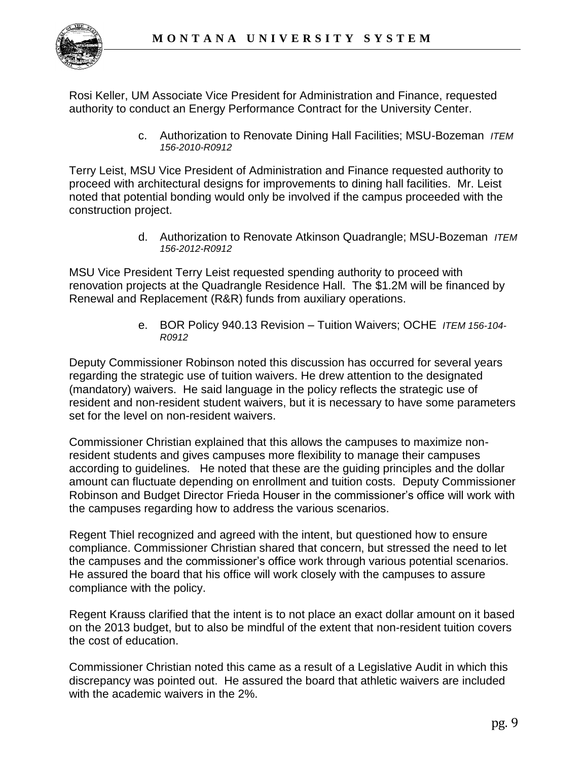

Rosi Keller, UM Associate Vice President for Administration and Finance, requested authority to conduct an Energy Performance Contract for the University Center.

> c. Authorization to Renovate Dining Hall Facilities; MSU-Bozeman *ITEM 156-2010-R0912*

Terry Leist, MSU Vice President of Administration and Finance requested authority to proceed with architectural designs for improvements to dining hall facilities. Mr. Leist noted that potential bonding would only be involved if the campus proceeded with the construction project.

> d. Authorization to Renovate Atkinson Quadrangle; MSU-Bozeman *ITEM 156-2012-R0912*

MSU Vice President Terry Leist requested spending authority to proceed with renovation projects at the Quadrangle Residence Hall. The \$1.2M will be financed by Renewal and Replacement (R&R) funds from auxiliary operations.

> e. BOR Policy 940.13 Revision – Tuition Waivers; OCHE *ITEM 156-104- R0912*

Deputy Commissioner Robinson noted this discussion has occurred for several years regarding the strategic use of tuition waivers. He drew attention to the designated (mandatory) waivers. He said language in the policy reflects the strategic use of resident and non-resident student waivers, but it is necessary to have some parameters set for the level on non-resident waivers.

Commissioner Christian explained that this allows the campuses to maximize nonresident students and gives campuses more flexibility to manage their campuses according to guidelines. He noted that these are the guiding principles and the dollar amount can fluctuate depending on enrollment and tuition costs. Deputy Commissioner Robinson and Budget Director Frieda Houser in the commissioner's office will work with the campuses regarding how to address the various scenarios.

Regent Thiel recognized and agreed with the intent, but questioned how to ensure compliance. Commissioner Christian shared that concern, but stressed the need to let the campuses and the commissioner's office work through various potential scenarios. He assured the board that his office will work closely with the campuses to assure compliance with the policy.

Regent Krauss clarified that the intent is to not place an exact dollar amount on it based on the 2013 budget, but to also be mindful of the extent that non-resident tuition covers the cost of education.

Commissioner Christian noted this came as a result of a Legislative Audit in which this discrepancy was pointed out. He assured the board that athletic waivers are included with the academic waivers in the 2%.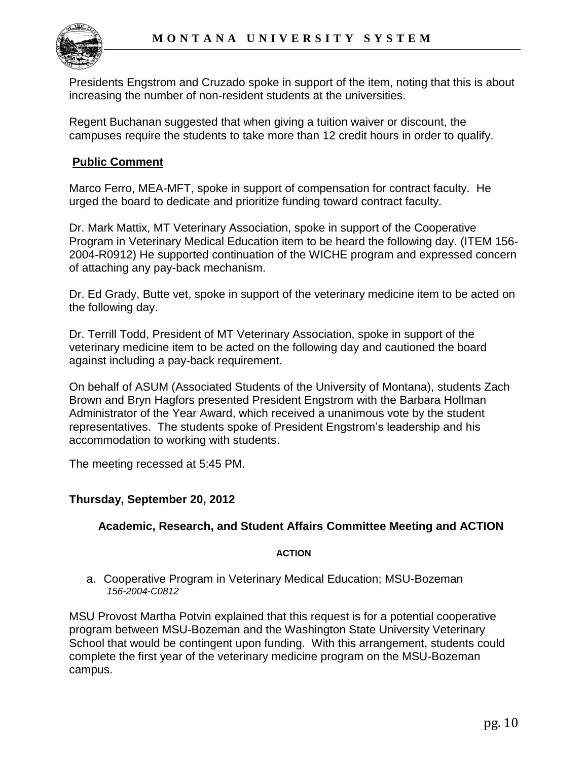

Presidents Engstrom and Cruzado spoke in support of the item, noting that this is about increasing the number of non-resident students at the universities.

Regent Buchanan suggested that when giving a tuition waiver or discount, the campuses require the students to take more than 12 credit hours in order to qualify.

## **Public Comment**

Marco Ferro, MEA-MFT, spoke in support of compensation for contract faculty. He urged the board to dedicate and prioritize funding toward contract faculty.

Dr. Mark Mattix, MT Veterinary Association, spoke in support of the Cooperative Program in Veterinary Medical Education item to be heard the following day. (ITEM 156- 2004-R0912) He supported continuation of the WICHE program and expressed concern of attaching any pay-back mechanism.

Dr. Ed Grady, Butte vet, spoke in support of the veterinary medicine item to be acted on the following day.

Dr. Terrill Todd, President of MT Veterinary Association, spoke in support of the veterinary medicine item to be acted on the following day and cautioned the board against including a pay-back requirement.

On behalf of ASUM (Associated Students of the University of Montana), students Zach Brown and Bryn Hagfors presented President Engstrom with the Barbara Hollman Administrator of the Year Award, which received a unanimous vote by the student representatives. The students spoke of President Engstrom's leadership and his accommodation to working with students.

The meeting recessed at 5:45 PM.

### **Thursday, September 20, 2012**

### **Academic, Research, and Student Affairs Committee Meeting and ACTION**

#### **ACTION**

a. Cooperative Program in Veterinary Medical Education; MSU-Bozeman *156-2004-C0812*

MSU Provost Martha Potvin explained that this request is for a potential cooperative program between MSU-Bozeman and the Washington State University Veterinary School that would be contingent upon funding. With this arrangement, students could complete the first year of the veterinary medicine program on the MSU-Bozeman campus.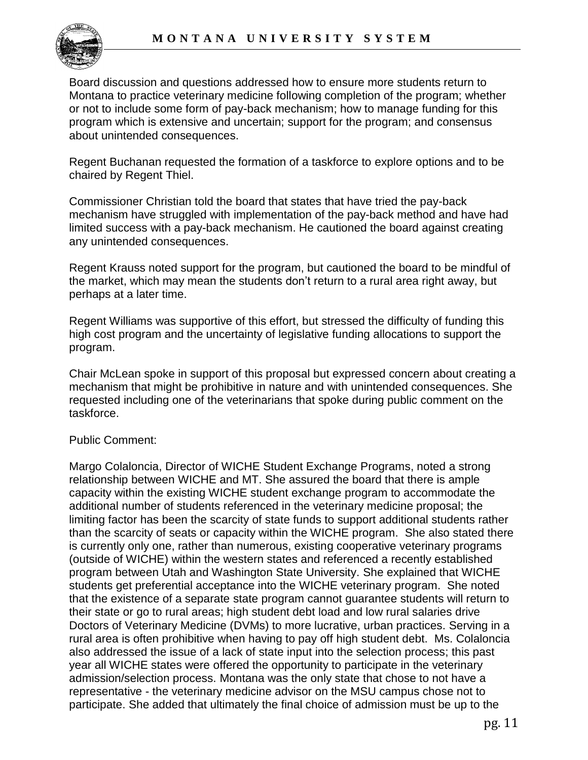

Board discussion and questions addressed how to ensure more students return to Montana to practice veterinary medicine following completion of the program; whether or not to include some form of pay-back mechanism; how to manage funding for this program which is extensive and uncertain; support for the program; and consensus about unintended consequences.

Regent Buchanan requested the formation of a taskforce to explore options and to be chaired by Regent Thiel.

Commissioner Christian told the board that states that have tried the pay-back mechanism have struggled with implementation of the pay-back method and have had limited success with a pay-back mechanism. He cautioned the board against creating any unintended consequences.

Regent Krauss noted support for the program, but cautioned the board to be mindful of the market, which may mean the students don't return to a rural area right away, but perhaps at a later time.

Regent Williams was supportive of this effort, but stressed the difficulty of funding this high cost program and the uncertainty of legislative funding allocations to support the program.

Chair McLean spoke in support of this proposal but expressed concern about creating a mechanism that might be prohibitive in nature and with unintended consequences. She requested including one of the veterinarians that spoke during public comment on the taskforce.

### Public Comment:

Margo Colaloncia, Director of WICHE Student Exchange Programs, noted a strong relationship between WICHE and MT. She assured the board that there is ample capacity within the existing WICHE student exchange program to accommodate the additional number of students referenced in the veterinary medicine proposal; the limiting factor has been the scarcity of state funds to support additional students rather than the scarcity of seats or capacity within the WICHE program. She also stated there is currently only one, rather than numerous, existing cooperative veterinary programs (outside of WICHE) within the western states and referenced a recently established program between Utah and Washington State University. She explained that WICHE students get preferential acceptance into the WICHE veterinary program. She noted that the existence of a separate state program cannot guarantee students will return to their state or go to rural areas; high student debt load and low rural salaries drive Doctors of Veterinary Medicine (DVMs) to more lucrative, urban practices. Serving in a rural area is often prohibitive when having to pay off high student debt. Ms. Colaloncia also addressed the issue of a lack of state input into the selection process; this past year all WICHE states were offered the opportunity to participate in the veterinary admission/selection process. Montana was the only state that chose to not have a representative - the veterinary medicine advisor on the MSU campus chose not to participate. She added that ultimately the final choice of admission must be up to the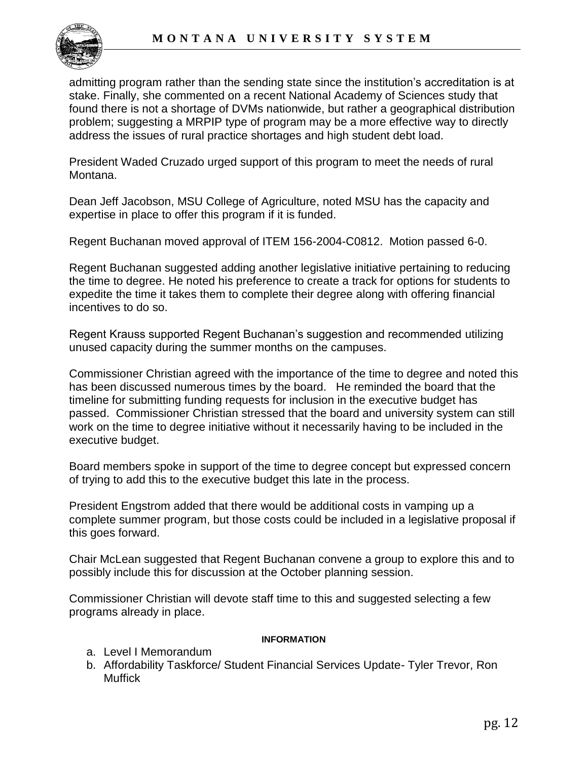

admitting program rather than the sending state since the institution's accreditation is at stake. Finally, she commented on a recent National Academy of Sciences study that found there is not a shortage of DVMs nationwide, but rather a geographical distribution problem; suggesting a MRPIP type of program may be a more effective way to directly address the issues of rural practice shortages and high student debt load.

President Waded Cruzado urged support of this program to meet the needs of rural Montana.

Dean Jeff Jacobson, MSU College of Agriculture, noted MSU has the capacity and expertise in place to offer this program if it is funded.

Regent Buchanan moved approval of ITEM 156-2004-C0812. Motion passed 6-0.

Regent Buchanan suggested adding another legislative initiative pertaining to reducing the time to degree. He noted his preference to create a track for options for students to expedite the time it takes them to complete their degree along with offering financial incentives to do so.

Regent Krauss supported Regent Buchanan's suggestion and recommended utilizing unused capacity during the summer months on the campuses.

Commissioner Christian agreed with the importance of the time to degree and noted this has been discussed numerous times by the board. He reminded the board that the timeline for submitting funding requests for inclusion in the executive budget has passed. Commissioner Christian stressed that the board and university system can still work on the time to degree initiative without it necessarily having to be included in the executive budget.

Board members spoke in support of the time to degree concept but expressed concern of trying to add this to the executive budget this late in the process.

President Engstrom added that there would be additional costs in vamping up a complete summer program, but those costs could be included in a legislative proposal if this goes forward.

Chair McLean suggested that Regent Buchanan convene a group to explore this and to possibly include this for discussion at the October planning session.

Commissioner Christian will devote staff time to this and suggested selecting a few programs already in place.

#### **INFORMATION**

- a. Level I Memorandum
- b. Affordability Taskforce/ Student Financial Services Update- Tyler Trevor, Ron **Muffick**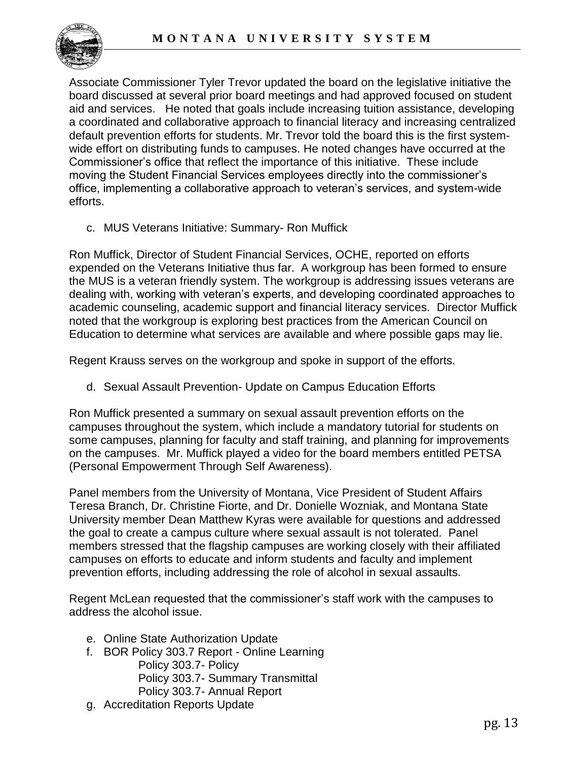

Associate Commissioner Tyler Trevor updated the board on the legislative initiative the board discussed at several prior board meetings and had approved focused on student aid and services. He noted that goals include increasing tuition assistance, developing a coordinated and collaborative approach to financial literacy and increasing centralized default prevention efforts for students. Mr. Trevor told the board this is the first systemwide effort on distributing funds to campuses. He noted changes have occurred at the Commissioner's office that reflect the importance of this initiative. These include moving the Student Financial Services employees directly into the commissioner's office, implementing a collaborative approach to veteran's services, and system-wide efforts.

c. MUS Veterans Initiative: Summary- Ron Muffick

Ron Muffick, Director of Student Financial Services, OCHE, reported on efforts expended on the Veterans Initiative thus far. A workgroup has been formed to ensure the MUS is a veteran friendly system. The workgroup is addressing issues veterans are dealing with, working with veteran's experts, and developing coordinated approaches to academic counseling, academic support and financial literacy services. Director Muffick noted that the workgroup is exploring best practices from the American Council on Education to determine what services are available and where possible gaps may lie.

Regent Krauss serves on the workgroup and spoke in support of the efforts.

d. Sexual Assault Prevention- Update on Campus Education Efforts

Ron Muffick presented a summary on sexual assault prevention efforts on the campuses throughout the system, which include a mandatory tutorial for students on some campuses, planning for faculty and staff training, and planning for improvements on the campuses. Mr. Muffick played a video for the board members entitled PETSA (Personal Empowerment Through Self Awareness).

Panel members from the University of Montana, Vice President of Student Affairs Teresa Branch, Dr. Christine Fiorte, and Dr. Donielle Wozniak, and Montana State University member Dean Matthew Kyras were available for questions and addressed the goal to create a campus culture where sexual assault is not tolerated. Panel members stressed that the flagship campuses are working closely with their affiliated campuses on efforts to educate and inform students and faculty and implement prevention efforts, including addressing the role of alcohol in sexual assaults.

Regent McLean requested that the commissioner's staff work with the campuses to address the alcohol issue.

- e. Online State Authorization Update
- f. BOR Policy 303.7 Report Online Learning Policy 303.7- Policy Policy 303.7- Summary Transmittal Policy 303.7- Annual Report
- g. Accreditation Reports Update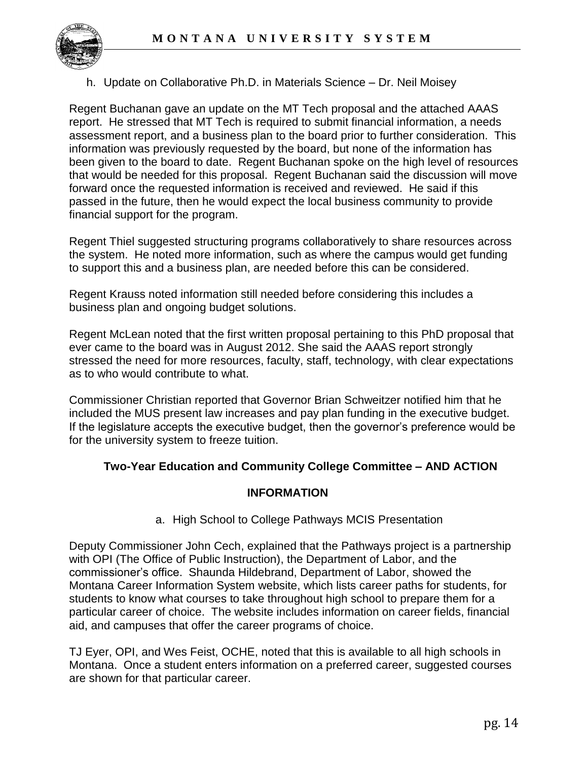

## h. Update on Collaborative Ph.D. in Materials Science – Dr. Neil Moisey

Regent Buchanan gave an update on the MT Tech proposal and the attached AAAS report. He stressed that MT Tech is required to submit financial information, a needs assessment report, and a business plan to the board prior to further consideration. This information was previously requested by the board, but none of the information has been given to the board to date. Regent Buchanan spoke on the high level of resources that would be needed for this proposal. Regent Buchanan said the discussion will move forward once the requested information is received and reviewed. He said if this passed in the future, then he would expect the local business community to provide financial support for the program.

Regent Thiel suggested structuring programs collaboratively to share resources across the system. He noted more information, such as where the campus would get funding to support this and a business plan, are needed before this can be considered.

Regent Krauss noted information still needed before considering this includes a business plan and ongoing budget solutions.

Regent McLean noted that the first written proposal pertaining to this PhD proposal that ever came to the board was in August 2012. She said the AAAS report strongly stressed the need for more resources, faculty, staff, technology, with clear expectations as to who would contribute to what.

Commissioner Christian reported that Governor Brian Schweitzer notified him that he included the MUS present law increases and pay plan funding in the executive budget. If the legislature accepts the executive budget, then the governor's preference would be for the university system to freeze tuition.

# **Two-Year Education and Community College Committee – AND ACTION**

### **INFORMATION**

a. High School to College Pathways MCIS Presentation

Deputy Commissioner John Cech, explained that the Pathways project is a partnership with OPI (The Office of Public Instruction), the Department of Labor, and the commissioner's office. Shaunda Hildebrand, Department of Labor, showed the Montana Career Information System website, which lists career paths for students, for students to know what courses to take throughout high school to prepare them for a particular career of choice. The website includes information on career fields, financial aid, and campuses that offer the career programs of choice.

TJ Eyer, OPI, and Wes Feist, OCHE, noted that this is available to all high schools in Montana. Once a student enters information on a preferred career, suggested courses are shown for that particular career.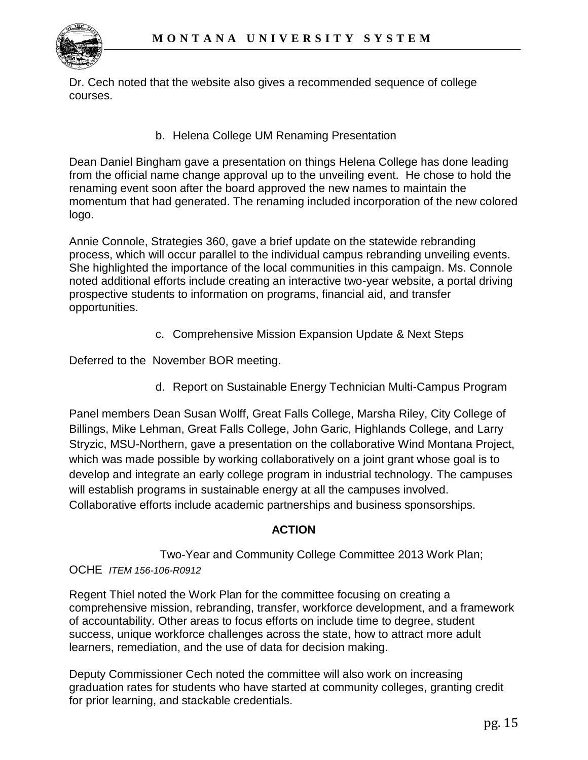

Dr. Cech noted that the website also gives a recommended sequence of college courses.

b. Helena College UM Renaming Presentation

Dean Daniel Bingham gave a presentation on things Helena College has done leading from the official name change approval up to the unveiling event. He chose to hold the renaming event soon after the board approved the new names to maintain the momentum that had generated. The renaming included incorporation of the new colored logo.

Annie Connole, Strategies 360, gave a brief update on the statewide rebranding process, which will occur parallel to the individual campus rebranding unveiling events. She highlighted the importance of the local communities in this campaign. Ms. Connole noted additional efforts include creating an interactive two-year website, a portal driving prospective students to information on programs, financial aid, and transfer opportunities.

c. Comprehensive Mission Expansion Update & Next Steps

Deferred to the November BOR meeting.

d. Report on Sustainable Energy Technician Multi-Campus Program

Panel members Dean Susan Wolff, Great Falls College, Marsha Riley, City College of Billings, Mike Lehman, Great Falls College, John Garic, Highlands College, and Larry Stryzic, MSU-Northern, gave a presentation on the collaborative Wind Montana Project, which was made possible by working collaboratively on a joint grant whose goal is to develop and integrate an early college program in industrial technology. The campuses will establish programs in sustainable energy at all the campuses involved. Collaborative efforts include academic partnerships and business sponsorships.

# **ACTION**

Two-Year and Community College Committee 2013 Work Plan; OCHE *ITEM 156-106-R0912*

Regent Thiel noted the Work Plan for the committee focusing on creating a comprehensive mission, rebranding, transfer, workforce development, and a framework of accountability. Other areas to focus efforts on include time to degree, student success, unique workforce challenges across the state, how to attract more adult learners, remediation, and the use of data for decision making.

Deputy Commissioner Cech noted the committee will also work on increasing graduation rates for students who have started at community colleges, granting credit for prior learning, and stackable credentials.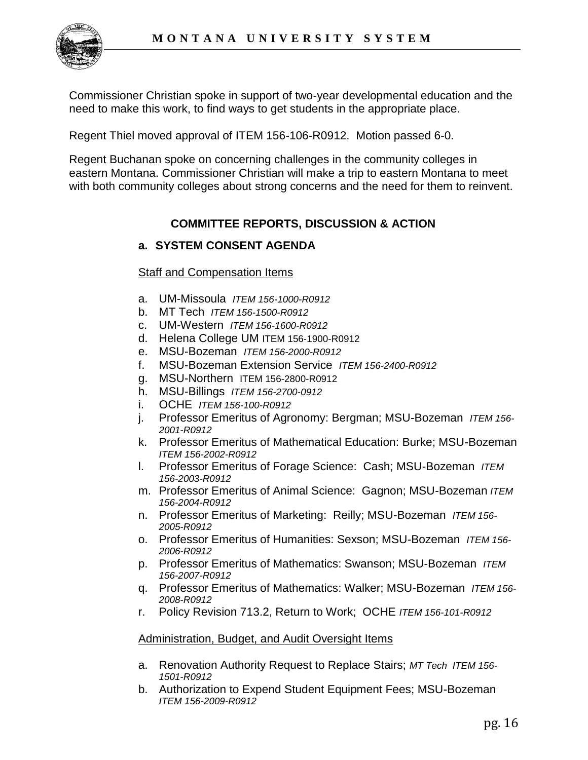

Commissioner Christian spoke in support of two-year developmental education and the need to make this work, to find ways to get students in the appropriate place.

Regent Thiel moved approval of ITEM 156-106-R0912. Motion passed 6-0.

Regent Buchanan spoke on concerning challenges in the community colleges in eastern Montana. Commissioner Christian will make a trip to eastern Montana to meet with both community colleges about strong concerns and the need for them to reinvent.

# **COMMITTEE REPORTS, DISCUSSION & ACTION**

## **a. SYSTEM CONSENT AGENDA**

### Staff and Compensation Items

- a. UM-Missoula *ITEM 156-1000-R0912*
- b. MT Tech *ITEM 156-1500-R0912*
- c. UM-Western *ITEM 156-1600-R0912*
- d. Helena College UM ITEM 156-1900-R0912
- e. MSU-Bozeman *ITEM 156-2000-R0912*
- f. MSU-Bozeman Extension Service *ITEM 156-2400-R0912*
- g. MSU-Northern ITEM 156-2800-R0912
- h. MSU-Billings *ITEM 156-2700-0912*
- i. OCHE *ITEM 156-100-R0912*
- j. Professor Emeritus of Agronomy: Bergman; MSU-Bozeman *ITEM 156- 2001-R0912*
- k. Professor Emeritus of Mathematical Education: Burke; MSU-Bozeman *ITEM 156-2002-R0912*
- l. Professor Emeritus of Forage Science: Cash; MSU-Bozeman *ITEM 156-2003-R0912*
- m. Professor Emeritus of Animal Science: Gagnon; MSU-Bozeman *ITEM 156-2004-R0912*
- n. Professor Emeritus of Marketing: Reilly; MSU-Bozeman *ITEM 156- 2005-R0912*
- o. Professor Emeritus of Humanities: Sexson; MSU-Bozeman *ITEM 156- 2006-R0912*
- p. Professor Emeritus of Mathematics: Swanson; MSU-Bozeman *ITEM 156-2007-R0912*
- q. Professor Emeritus of Mathematics: Walker; MSU-Bozeman *ITEM 156- 2008-R0912*
- r. Policy Revision 713.2, Return to Work; OCHE *ITEM 156-101-R0912*

#### Administration, Budget, and Audit Oversight Items

- a. Renovation Authority Request to Replace Stairs; *MT Tech ITEM 156- 1501-R0912*
- b. Authorization to Expend Student Equipment Fees; MSU-Bozeman *ITEM 156-2009-R0912*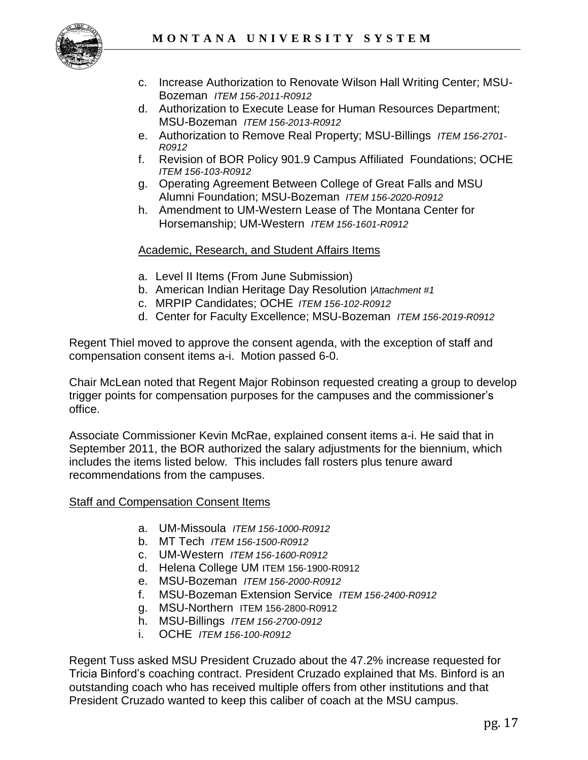

- c. Increase Authorization to Renovate Wilson Hall Writing Center; MSU-Bozeman *ITEM 156-2011-R0912*
- d. Authorization to Execute Lease for Human Resources Department; MSU-Bozeman *ITEM 156-2013-R0912*
- e. Authorization to Remove Real Property; MSU-Billings *ITEM 156-2701- R0912*
- f. Revision of BOR Policy 901.9 Campus Affiliated Foundations; OCHE *ITEM 156-103-R0912*
- g. Operating Agreement Between College of Great Falls and MSU Alumni Foundation; MSU-Bozeman *ITEM 156-2020-R0912*
- h. Amendment to UM-Western Lease of The Montana Center for Horsemanship; UM-Western *ITEM 156-1601-R0912*

## Academic, Research, and Student Affairs Items

- a. Level II Items (From June Submission)
- b. American Indian Heritage Day Resolution *|Attachment #1*
- c. MRPIP Candidates; OCHE *ITEM 156-102-R0912*
- d. Center for Faculty Excellence; MSU-Bozeman *ITEM 156-2019-R0912*

Regent Thiel moved to approve the consent agenda, with the exception of staff and compensation consent items a-i. Motion passed 6-0.

Chair McLean noted that Regent Major Robinson requested creating a group to develop trigger points for compensation purposes for the campuses and the commissioner's office.

Associate Commissioner Kevin McRae, explained consent items a-i. He said that in September 2011, the BOR authorized the salary adjustments for the biennium, which includes the items listed below. This includes fall rosters plus tenure award recommendations from the campuses.

### Staff and Compensation Consent Items

- a. UM-Missoula *ITEM 156-1000-R0912*
- b. MT Tech *ITEM 156-1500-R0912*
- c. UM-Western *ITEM 156-1600-R0912*
- d. Helena College UM ITEM 156-1900-R0912
- e. MSU-Bozeman *ITEM 156-2000-R0912*
- f. MSU-Bozeman Extension Service *ITEM 156-2400-R0912*
- g. MSU-Northern ITEM 156-2800-R0912
- h. MSU-Billings *ITEM 156-2700-0912*
- i. OCHE *ITEM 156-100-R0912*

Regent Tuss asked MSU President Cruzado about the 47.2% increase requested for Tricia Binford's coaching contract. President Cruzado explained that Ms. Binford is an outstanding coach who has received multiple offers from other institutions and that President Cruzado wanted to keep this caliber of coach at the MSU campus.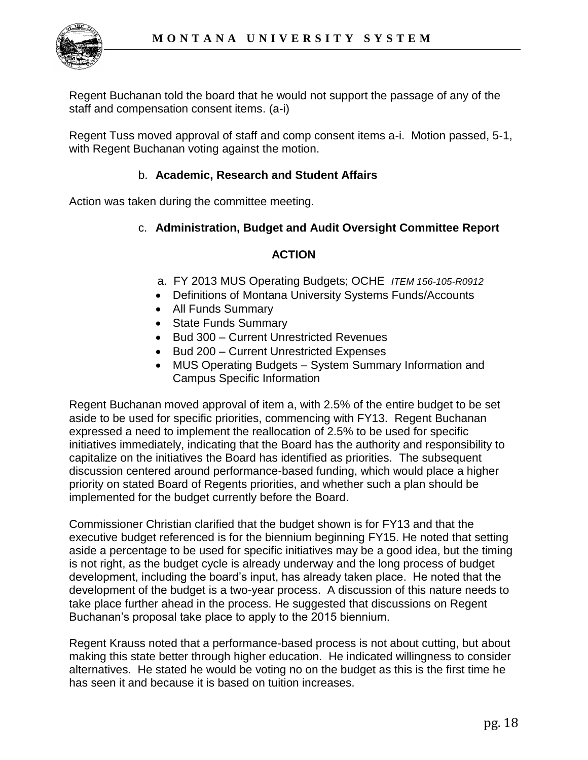

Regent Buchanan told the board that he would not support the passage of any of the staff and compensation consent items. (a-i)

Regent Tuss moved approval of staff and comp consent items a-i. Motion passed, 5-1, with Regent Buchanan voting against the motion.

## b. **Academic, Research and Student Affairs**

Action was taken during the committee meeting.

## c. **Administration, Budget and Audit Oversight Committee Report**

## **ACTION**

- a. FY 2013 MUS Operating Budgets; OCHE *ITEM 156-105-R0912*
- Definitions of Montana University Systems Funds/Accounts
- All Funds Summary
- State Funds Summary
- Bud 300 Current Unrestricted Revenues
- Bud 200 Current Unrestricted Expenses
- MUS Operating Budgets System Summary Information and Campus Specific Information

Regent Buchanan moved approval of item a, with 2.5% of the entire budget to be set aside to be used for specific priorities, commencing with FY13. Regent Buchanan expressed a need to implement the reallocation of 2.5% to be used for specific initiatives immediately, indicating that the Board has the authority and responsibility to capitalize on the initiatives the Board has identified as priorities. The subsequent discussion centered around performance-based funding, which would place a higher priority on stated Board of Regents priorities, and whether such a plan should be implemented for the budget currently before the Board.

Commissioner Christian clarified that the budget shown is for FY13 and that the executive budget referenced is for the biennium beginning FY15. He noted that setting aside a percentage to be used for specific initiatives may be a good idea, but the timing is not right, as the budget cycle is already underway and the long process of budget development, including the board's input, has already taken place. He noted that the development of the budget is a two-year process. A discussion of this nature needs to take place further ahead in the process. He suggested that discussions on Regent Buchanan's proposal take place to apply to the 2015 biennium.

Regent Krauss noted that a performance-based process is not about cutting, but about making this state better through higher education. He indicated willingness to consider alternatives. He stated he would be voting no on the budget as this is the first time he has seen it and because it is based on tuition increases.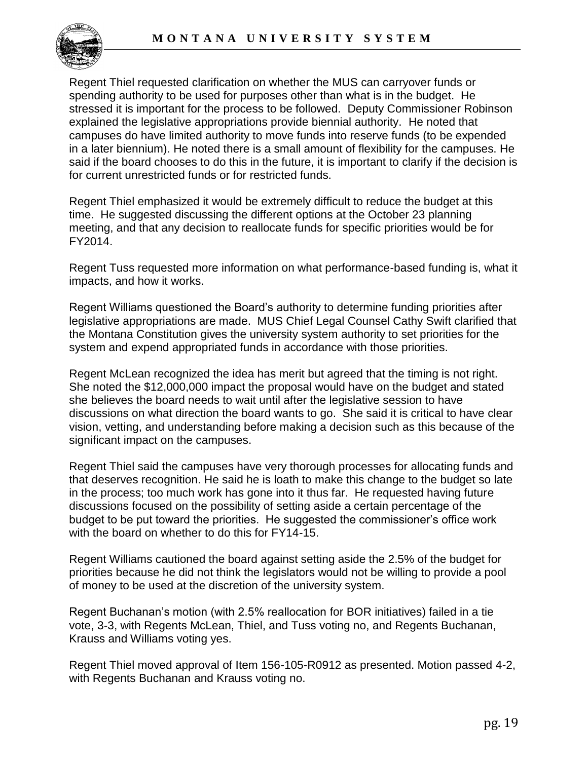

Regent Thiel requested clarification on whether the MUS can carryover funds or spending authority to be used for purposes other than what is in the budget. He stressed it is important for the process to be followed. Deputy Commissioner Robinson explained the legislative appropriations provide biennial authority. He noted that campuses do have limited authority to move funds into reserve funds (to be expended in a later biennium). He noted there is a small amount of flexibility for the campuses. He said if the board chooses to do this in the future, it is important to clarify if the decision is for current unrestricted funds or for restricted funds.

Regent Thiel emphasized it would be extremely difficult to reduce the budget at this time. He suggested discussing the different options at the October 23 planning meeting, and that any decision to reallocate funds for specific priorities would be for FY2014.

Regent Tuss requested more information on what performance-based funding is, what it impacts, and how it works.

Regent Williams questioned the Board's authority to determine funding priorities after legislative appropriations are made. MUS Chief Legal Counsel Cathy Swift clarified that the Montana Constitution gives the university system authority to set priorities for the system and expend appropriated funds in accordance with those priorities.

Regent McLean recognized the idea has merit but agreed that the timing is not right. She noted the \$12,000,000 impact the proposal would have on the budget and stated she believes the board needs to wait until after the legislative session to have discussions on what direction the board wants to go. She said it is critical to have clear vision, vetting, and understanding before making a decision such as this because of the significant impact on the campuses.

Regent Thiel said the campuses have very thorough processes for allocating funds and that deserves recognition. He said he is loath to make this change to the budget so late in the process; too much work has gone into it thus far. He requested having future discussions focused on the possibility of setting aside a certain percentage of the budget to be put toward the priorities. He suggested the commissioner's office work with the board on whether to do this for FY14-15.

Regent Williams cautioned the board against setting aside the 2.5% of the budget for priorities because he did not think the legislators would not be willing to provide a pool of money to be used at the discretion of the university system.

Regent Buchanan's motion (with 2.5% reallocation for BOR initiatives) failed in a tie vote, 3-3, with Regents McLean, Thiel, and Tuss voting no, and Regents Buchanan, Krauss and Williams voting yes.

Regent Thiel moved approval of Item 156-105-R0912 as presented. Motion passed 4-2, with Regents Buchanan and Krauss voting no.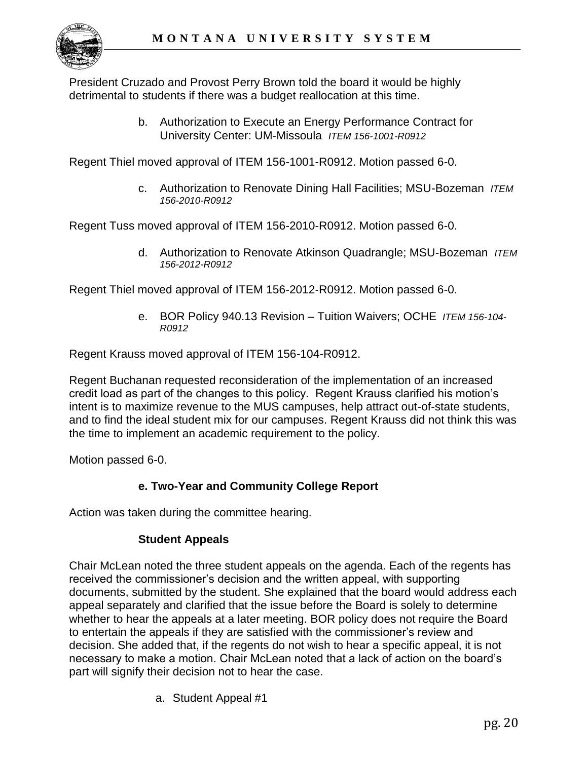President Cruzado and Provost Perry Brown told the board it would be highly detrimental to students if there was a budget reallocation at this time.

> b. Authorization to Execute an Energy Performance Contract for University Center: UM-Missoula *ITEM 156-1001-R0912*

Regent Thiel moved approval of ITEM 156-1001-R0912. Motion passed 6-0.

c. Authorization to Renovate Dining Hall Facilities; MSU-Bozeman *ITEM 156-2010-R0912*

Regent Tuss moved approval of ITEM 156-2010-R0912. Motion passed 6-0.

d. Authorization to Renovate Atkinson Quadrangle; MSU-Bozeman *ITEM 156-2012-R0912* 

Regent Thiel moved approval of ITEM 156-2012-R0912. Motion passed 6-0.

e. BOR Policy 940.13 Revision – Tuition Waivers; OCHE *ITEM 156-104- R0912*

Regent Krauss moved approval of ITEM 156-104-R0912.

Regent Buchanan requested reconsideration of the implementation of an increased credit load as part of the changes to this policy. Regent Krauss clarified his motion's intent is to maximize revenue to the MUS campuses, help attract out-of-state students, and to find the ideal student mix for our campuses. Regent Krauss did not think this was the time to implement an academic requirement to the policy.

Motion passed 6-0.

# **e. Two-Year and Community College Report**

Action was taken during the committee hearing.

# **Student Appeals**

Chair McLean noted the three student appeals on the agenda. Each of the regents has received the commissioner's decision and the written appeal, with supporting documents, submitted by the student. She explained that the board would address each appeal separately and clarified that the issue before the Board is solely to determine whether to hear the appeals at a later meeting. BOR policy does not require the Board to entertain the appeals if they are satisfied with the commissioner's review and decision. She added that, if the regents do not wish to hear a specific appeal, it is not necessary to make a motion. Chair McLean noted that a lack of action on the board's part will signify their decision not to hear the case.

a. Student Appeal #1